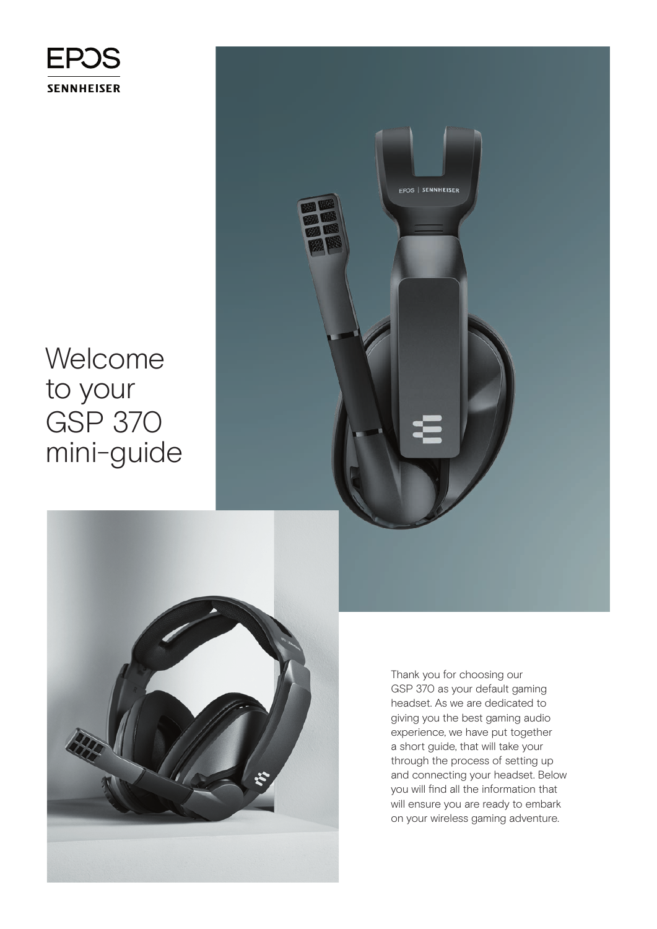

## Welcome to your GSP 370 mini-guide



Thank you for choosing our GSP 370 as your default gaming headset. As we are dedicated to giving you the best gaming audio experience, we have put together a short guide, that will take your through the process of setting up and connecting your headset. Below you will find all the information that will ensure you are ready to embark on your wireless gaming adventure.

EPOS | SENNHEISER